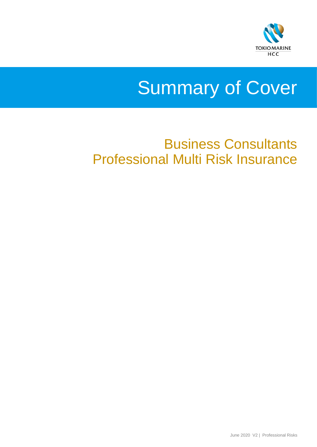

# Summary of Cover

# Business Consultants Professional Multi Risk Insurance

June 2020 V2 | Professional Risks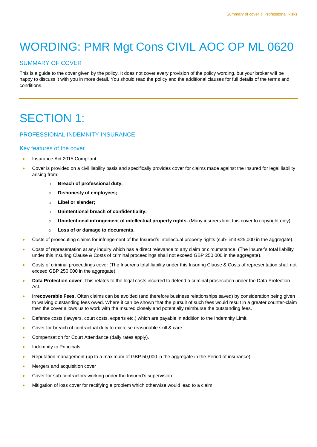# WORDING: PMR Mgt Cons CIVIL AOC OP ML 0620

#### SUMMARY OF COVER

This is a guide to the cover given by the policy. It does not cover every provision of the policy wording, but your broker will be happy to discuss it with you in more detail. You should read the policy and the additional clauses for full details of the terms and conditions.

## SECTION 1:

#### PROFESSIONAL INDEMNITY INSURANCE

#### Key features of the cover

- Insurance Act 2015 Compliant.
- Cover is provided on a civil liability basis and specifically provides cover for claims made against the Insured for legal liability arising from:
	- o **Breach of professional duty;**
	- o **Dishonesty of employees;**
	- o **Libel or slander;**
	- o **Unintentional breach of confidentiality;**
	- o **Unintentional infringement of intellectual property rights.** (Many insurers limit this cover to copyright only);
	- o **Loss of or damage to documents.**
- Costs of prosecuting claims for infringement of the Insured's intellectual property rights (sub-limit £25,000 in the aggregate).
- Costs of representation at any inquiry which has a direct relevance to any claim or circumstance (The Insurer's total liability under this Insuring Clause & Costs of criminal proceedings shall not exceed GBP 250,000 in the aggregate).
- Costs of criminal proceedings cover (The Insurer's total liability under this Insuring Clause & Costs of representation shall not exceed GBP 250,000 in the aggregate).
- **Data Protection cover**. This relates to the legal costs incurred to defend a criminal prosecution under the Data Protection Act.
- **Irrecoverable Fees**. Often claims can be avoided (and therefore business relationships saved) by consideration being given to waiving outstanding fees owed. Where it can be shown that the pursuit of such fees would result in a greater counter-claim then the cover allows us to work with the Insured closely and potentially reimburse the outstanding fees.
- Defence costs (lawyers, court costs, experts etc.) which are payable in addition to the Indemnity Limit.
- Cover for breach of contractual duty to exercise reasonable skill & care
- Compensation for Court Attendance (daily rates apply).
- Indemnity to Principals.
- Reputation management (up to a maximum of GBP 50,000 in the aggregate in the Period of insurance).
- **Mergers and acquisition cover**
- Cover for sub-contractors working under the Insured's supervision
- Mitigation of loss cover for rectifying a problem which otherwise would lead to a claim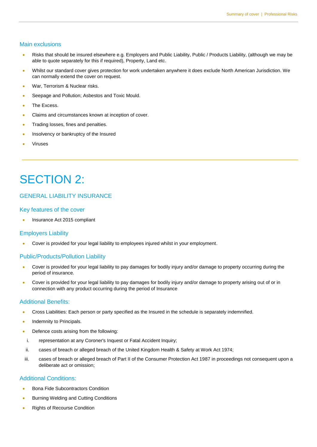#### Main exclusions

- Risks that should be insured elsewhere e.g. Employers and Public Liability, Public / Products Liability, (although we may be able to quote separately for this if required), Property, Land etc.
- Whilst our standard cover gives protection for work undertaken anywhere it does exclude North American Jurisdiction. We can normally extend the cover on request.
- **War, Terrorism & Nuclear risks.**
- Seepage and Pollution; Asbestos and Toxic Mould.
- The Excess.
- Claims and circumstances known at inception of cover.
- **Trading losses, fines and penalties.**
- Insolvency or bankruptcy of the Insured
- Viruses

## SECTION 2:

#### GENERAL LIABILITY INSURANCE

#### Key features of the cover

Insurance Act 2015 compliant

#### Employers Liability

Cover is provided for your legal liability to employees injured whilst in your employment.

#### Public/Products/Pollution Liability

- Cover is provided for your legal liability to pay damages for bodily injury and/or damage to property occurring during the period of insurance.
- Cover is provided for your legal liability to pay damages for bodily injury and/or damage to property arising out of or in connection with any product occurring during the period of Insurance

#### Additional Benefits:

- Cross Liabilities: Each person or party specified as the Insured in the schedule is separately indemnified.
- Indemnity to Principals.
- Defence costs arising from the following:
- i. representation at any Coroner's Inquest or Fatal Accident Inquiry;
- ii. cases of breach or alleged breach of the United Kingdom Health & Safety at Work Act 1974;
- iii. cases of breach or alleged breach of Part II of the Consumer Protection Act 1987 in proceedings not consequent upon a deliberate act or omission;

#### Additional Conditions:

- Bona Fide Subcontractors Condition
- **•** Burning Welding and Cutting Conditions
- Rights of Recourse Condition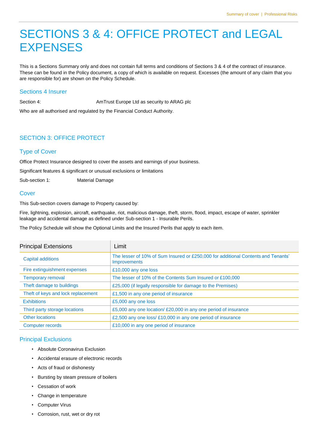### SECTIONS 3 & 4: OFFICE PROTECT and LEGAL **EXPENSES**

This is a Sections Summary only and does not contain full terms and conditions of Sections 3 & 4 of the contract of insurance. These can be found in the Policy document, a copy of which is available on request. Excesses (the amount of any claim that you are responsible for) are shown on the Policy Schedule.

#### Sections 4 Insurer

Section 4: Contract Europe Ltd as security to ARAG plc

Who are all authorised and regulated by the Financial Conduct Authority.

#### SECTION 3: OFFICE PROTECT

#### Type of Cover

Office Protect Insurance designed to cover the assets and earnings of your business.

Significant features & significant or unusual exclusions or limitations

Sub-section 1: Material Damage

#### Cover

This Sub-section covers damage to Property caused by:

Fire, lightning, explosion, aircraft, earthquake, riot, malicious damage, theft, storm, flood, impact, escape of water, sprinkler leakage and accidental damage as defined under Sub-section 1 - Insurable Perils.

The Policy Schedule will show the Optional Limits and the Insured Perils that apply to each item.

| <b>Principal Extensions</b>        | Limit                                                                                                    |
|------------------------------------|----------------------------------------------------------------------------------------------------------|
| <b>Capital additions</b>           | The lesser of 10% of Sum Insured or £250,000 for additional Contents and Tenants'<br><b>Improvements</b> |
| Fire extinguishment expenses       | £10,000 any one loss                                                                                     |
| <b>Temporary removal</b>           | The lesser of 10% of the Contents Sum Insured or £100,000                                                |
| Theft damage to buildings          | £25,000 (if legally responsible for damage to the Premises)                                              |
| Theft of keys and lock replacement | £1,500 in any one period of insurance                                                                    |
| <b>Exhibitions</b>                 | £5,000 any one loss                                                                                      |
| Third party storage locations      | £5,000 any one location/ £20,000 in any one period of insurance                                          |
| <b>Other locations</b>             | £2,500 any one loss/£10,000 in any one period of insurance                                               |
| Computer records                   | £10,000 in any one period of insurance                                                                   |

#### Principal Exclusions

- Absolute Coronavirus Exclusion
- Accidental erasure of electronic records
- Acts of fraud or dishonesty
- Bursting by steam pressure of boilers
- Cessation of work
- Change in temperature
- Computer Virus
- Corrosion, rust, wet or dry rot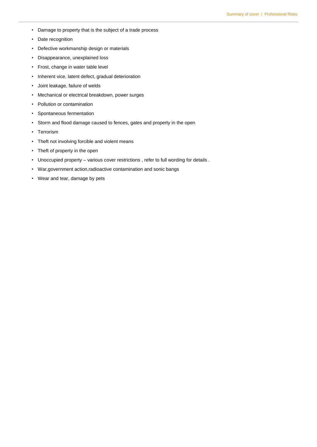- Damage to property that is the subject of a trade process
- Date recognition
- Defective workmanship design or materials
- Disappearance, unexplained loss
- Frost, change in water table level
- Inherent vice, latent defect, gradual deterioration
- Joint leakage, failure of welds
- Mechanical or electrical breakdown, power surges
- Pollution or contamination
- Spontaneous fermentation
- Storm and flood damage caused to fences, gates and property in the open
- Terrorism
- Theft not involving forcible and violent means
- Theft of property in the open
- Unoccupied property various cover restrictions , refer to full wording for details .
- War,government action,radioactive contamination and sonic bangs
- Wear and tear, damage by pets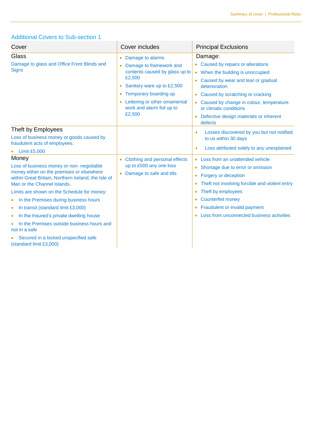#### Additional Covers to Sub-section 1

| Cover                                                                                                                                                                                 | Cover includes                                                                                                                                                                                          | <b>Principal Exclusions</b>                                                                                                                                                                                                                                                                    |
|---------------------------------------------------------------------------------------------------------------------------------------------------------------------------------------|---------------------------------------------------------------------------------------------------------------------------------------------------------------------------------------------------------|------------------------------------------------------------------------------------------------------------------------------------------------------------------------------------------------------------------------------------------------------------------------------------------------|
| Glass                                                                                                                                                                                 | Damage to alarms<br>$\bullet$                                                                                                                                                                           | Damage:                                                                                                                                                                                                                                                                                        |
| Damage to glass and Office Front Blinds and<br><b>Signs</b>                                                                                                                           | Damage to framework and<br>contents caused by glass up to<br>£2,500<br>Sanitary ware up to £2,500<br>Temporary boarding up<br>۰<br>Lettering or other ornamental<br>work and alarm foil up to<br>£2,500 | • Caused by repairs or alterations<br>• When the building is unoccupied<br>Caused by wear and tear or gradual<br>deterioration<br>Caused by scratching or cracking<br>$\bullet$<br>Caused by change in colour, temperature<br>or climatic conditions<br>Defective design materials or inherent |
| Theft by Employees<br>Loss of business money or goods caused by<br>fraudulent acts of employees.<br><b>Limit £5,000</b>                                                               |                                                                                                                                                                                                         | defects<br>Losses discovered by you but not notified<br>$\bullet$<br>to us within 30 days<br>Loss attributed solely to any unexplained<br>$\bullet$                                                                                                                                            |
| Money<br>Loss of business money or non- negotiable<br>money either on the premises or elsewhere<br>within Great Britain, Northern Ireland, the Isle of<br>Man or the Channel Islands. | Clothing and personal effects<br>up to £500 any one loss<br>• Damage to safe and tills                                                                                                                  | • Loss from an unattended vehicle<br>Shortage due to error or omission<br>$\bullet$<br>Forgery or deception<br>$\bullet$<br>Theft not involving forcible and violent entry<br>$\bullet$                                                                                                        |
| Limits are shown on the Schedule for money:                                                                                                                                           |                                                                                                                                                                                                         | Theft by employees<br>$\bullet$                                                                                                                                                                                                                                                                |
| In the Premises during business hours<br>۰                                                                                                                                            |                                                                                                                                                                                                         | <b>Counterfeit money</b><br>$\bullet$                                                                                                                                                                                                                                                          |
| In transit (standard limit £3,000)<br>$\bullet$                                                                                                                                       |                                                                                                                                                                                                         | Fraudulent or invalid payment<br>$\bullet$                                                                                                                                                                                                                                                     |
| In the Insured's private dwelling house<br>۰                                                                                                                                          |                                                                                                                                                                                                         | Loss from unconnected business activities                                                                                                                                                                                                                                                      |
| In the Premises outside business hours and<br>not in a safe                                                                                                                           |                                                                                                                                                                                                         |                                                                                                                                                                                                                                                                                                |
| Secured in a locked unspecified safe<br>(standard limit £3,000)                                                                                                                       |                                                                                                                                                                                                         |                                                                                                                                                                                                                                                                                                |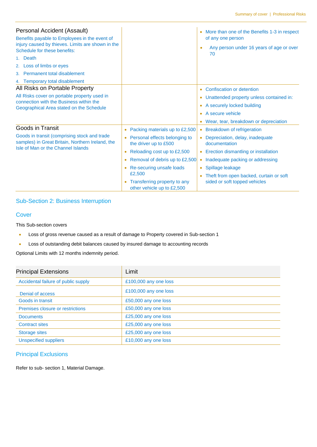| Personal Accident (Assault)<br>Benefits payable to Employees in the event of<br>injury caused by thieves. Limits are shown in the<br>Schedule for these benefits:<br>1. Death<br>2. Loss of limbs or eyes<br>3. Permanent total disablement<br>4. Temporary total disablement |                                                                                                                                                                                                                                                                     | More than one of the Benefits 1-3 in respect<br>of any one person<br>Any person under 16 years of age or over<br>70                                                                                                                                                              |
|-------------------------------------------------------------------------------------------------------------------------------------------------------------------------------------------------------------------------------------------------------------------------------|---------------------------------------------------------------------------------------------------------------------------------------------------------------------------------------------------------------------------------------------------------------------|----------------------------------------------------------------------------------------------------------------------------------------------------------------------------------------------------------------------------------------------------------------------------------|
| All Risks on Portable Property<br>All Risks cover on portable property used in<br>connection with the Business within the<br>Geographical Area stated on the Schedule                                                                                                         |                                                                                                                                                                                                                                                                     | Confiscation or detention<br>Unattended property unless contained in:<br>$\bullet$<br>A securely locked building<br>$\bullet$<br>A secure vehicle<br>Wear, tear, breakdown or depreciation                                                                                       |
| Goods in Transit<br>Goods in transit (comprising stock and trade<br>samples) in Great Britain, Northern Ireland, the<br>Isle of Man or the Channel Islands                                                                                                                    | Packing materials up to £2,500<br>• Personal effects belonging to<br>the driver up to £500<br>Reloading cost up to £2,500<br>Removal of debris up to £2,500<br>• Re-securing unsafe loads<br>£2,500<br>• Transferring property to any<br>other vehicle up to £2,500 | <b>Breakdown of refrigeration</b><br>Depreciation, delay, inadequate<br>documentation<br>• Erection dismantling or installation<br>Inadequate packing or addressing<br>Spillage leakage<br>$\bullet$<br>Theft from open backed, curtain or soft<br>sided or soft topped vehicles |

#### Sub-Section 2: Business Interruption

#### **Cover**

This Sub-section covers

- Loss of gross revenue caused as a result of damage to Property covered in Sub-section 1
- Loss of outstanding debit balances caused by insured damage to accounting records

Optional Limits with 12 months indemnity period.

| <b>Principal Extensions</b>         | Limit                 |
|-------------------------------------|-----------------------|
| Accidental failure of public supply | £100,000 any one loss |
| Denial of access                    | £100,000 any one loss |
| Goods in transit                    | £50,000 any one loss  |
| Premises closure or restrictions    | £50,000 any one loss  |
| <b>Documents</b>                    | £25,000 any one loss  |
| <b>Contract sites</b>               | £25,000 any one loss  |
| <b>Storage sites</b>                | £25,000 any one loss  |
| <b>Unspecified suppliers</b>        | £10,000 any one loss  |

#### Principal Exclusions

Refer to sub- section 1, Material Damage.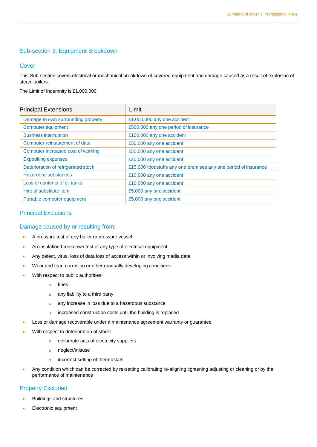#### Sub-section 3: Equipment Breakdown

#### **Cover**

This Sub-section covers electrical or mechanical breakdown of covered equipment and damage caused as a result of explosion of steam boilers.

The Limit of Indemnity is £1,000,000

| <b>Principal Extensions</b>         | Limit                                                           |
|-------------------------------------|-----------------------------------------------------------------|
| Damage to own surrounding property  | £1,000,000 any one accident                                     |
| Computer equipment                  | £500,000 any one period of insurance                            |
| <b>Business interruption</b>        | £100,000 any one accident                                       |
| Computer reinstatement of data      | £50,000 any one accident                                        |
| Computer increased cost of working  | £50,000 any one accident                                        |
| <b>Expediting expenses</b>          | £20,000 any one accident                                        |
| Deterioration of refrigerated stock | £15,000 foodstuffs any one premises any one period of insurance |
| Hazardous substances                | £10,000 any one accident                                        |
| Loss of contents of oil tanks       | £10,000 any one accident                                        |
| Hire of substitute item             | £5,000 any one accident                                         |
| Portable computer equipment         | £5,000 any one accident                                         |

#### Principal Exclusions

#### Damage caused by or resulting from:

- A pressure test of any boiler or pressure vessel
- An insulation breakdown test of any type of electrical equipment
- Any defect, virus, loss of data loss of access within or involving media data
- Wear and tear, corrosion or other gradually developing conditions
- With respect to public authorities:
	- o fines
	- o any liability to a third party
	- o any increase in loss due to a hazardous substance
	- o increased construction costs until the building is replaced
- Loss or damage recoverable under a maintenance agreement warranty or guarantee
- With respect to deterioration of stock:
	- o deliberate acts of electricity suppliers
	- o neglect/misuse
	- o incorrect setting of thermostats
- Any condition which can be corrected by re-setting calibrating re-aligning tightening adjusting or cleaning or by the performance of maintenance

#### Property Excluded

- **Buildings and structures**
- **Electronic equipment**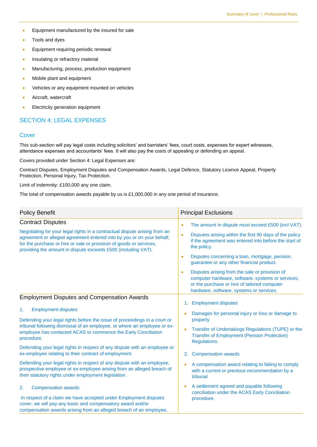- **•** Equipment manufactured by the insured for sale
- Tools and dyes
- **•** Equipment requiring periodic renewal
- **•** Insulating or refractory material
- Manufacturing, process, production equipment
- Mobile plant and equipment
- Vehicles or any equipment mounted on vehicles
- **Aircraft**, watercraft
- **Electricity generation equipment**

#### SECTION 4: LEGAL EXPENSES

#### **Cover**

This sub-section will pay legal costs including solicitors' and barristers' fees, court costs, expenses for expert witnesses, attendance expenses and accountants' fees. It will also pay the costs of appealing or defending an appeal.

Covers provided under Section 4: Legal Expenses are:

Contract Disputes, Employment Disputes and Compensation Awards, Legal Defence, Statutory Licence Appeal, Property Protection, Personal Injury, Tax Protection.

Limit of indemnity: £100,000 any one claim.

The total of compensation awards payable by us is £1,000,000 in any one period of insurance.

| <b>Policy Benefit</b>                                                                                                                                                                                                                                                                                                                          | <b>Principal Exclusions</b>                                                                                                                                                                                                                                                                                                                                                                                                                                                        |  |
|------------------------------------------------------------------------------------------------------------------------------------------------------------------------------------------------------------------------------------------------------------------------------------------------------------------------------------------------|------------------------------------------------------------------------------------------------------------------------------------------------------------------------------------------------------------------------------------------------------------------------------------------------------------------------------------------------------------------------------------------------------------------------------------------------------------------------------------|--|
| <b>Contract Disputes</b><br>Negotiating for your legal rights in a contractual dispute arising from an<br>agreement or alleged agreement entered into by you or on your behalf,<br>for the purchase or hire or sale or provision of goods or services,<br>providing the amount in dispute exceeds £500 (including VAT).                        | The amount in dispute must exceed £500 (incl VAT).<br>$\bullet$<br>Disputes arising within the first 90 days of the policy<br>$\bullet$<br>if the agreement was entered into before the start of<br>the policy.<br>Disputes concerning a loan, mortgage, pension,<br>$\bullet$<br>guarantee or any other financial product.<br>Disputes arising from the sale or provision of<br>computer hardware, software, systems or services;<br>or the purchase or hire of tailored computer |  |
| <b>Employment Disputes and Compensation Awards</b><br><b>Employment disputes</b><br>1.<br>Defending your legal rights before the issue of proceedings in a court or<br>tribunal following dismissal of an employee, or where an employee or ex-<br>employee has contacted ACAS to commence the Early Conciliation<br>procedure.                | hardware, software, systems or services.<br>1. Employment disputes<br>Damages for personal injury or loss or damage to<br>ó<br>property<br>Transfer of Undertakings Regulations (TUPE) or the<br>ó<br><b>Transfer of Employment (Pension Protection)</b><br>Regulations.                                                                                                                                                                                                           |  |
| Defending your legal rights in respect of any dispute with an employee or<br>ex-employee relating to their contract of employment.<br>Defending your legal rights in respect of any dispute with an employee,<br>prospective employee or ex-employee arising from an alleged breach of<br>their statutory rights under employment legislation. | <b>Compensation awards</b><br>2.<br>A compensation award relating to failing to comply<br>$\bullet$<br>with a current or previous recommendation by a<br>tribunal                                                                                                                                                                                                                                                                                                                  |  |
| <b>Compensation awards</b><br>2.<br>In respect of a claim we have accepted under Employment disputes<br>cover, we will pay any basic and compensatory award and/or<br>compensation awards arising from an alleged breach of an employee,                                                                                                       | A settlement agreed and payable following<br>Ċ<br>conciliation under the ACAS Early Conciliation<br>procedure.                                                                                                                                                                                                                                                                                                                                                                     |  |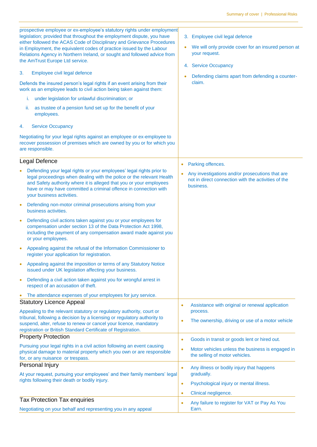| prospective employee or ex-employee's statutory rights under employment<br>legislation; provided that throughout the employment dispute, you have<br>either followed the ACAS Code of Disciplinary and Grievance Procedures<br>in Employment, the equivalent codes of practice issued by the Labour<br>Relations Agency in Northern Ireland, or sought and followed advice from<br>the AmTrust Europe Ltd service.<br>3.<br>Employee civil legal defence<br>Defends the insured person's legal rights if an event arising from their<br>work as an employee leads to civil action being taken against them:<br>under legislation for unlawful discrimination; or<br>i. | 3. Employee civil legal defence<br>We will only provide cover for an insured person at<br>your request.<br>4. Service Occupancy<br>Defending claims apart from defending a counter-<br>claim. |
|------------------------------------------------------------------------------------------------------------------------------------------------------------------------------------------------------------------------------------------------------------------------------------------------------------------------------------------------------------------------------------------------------------------------------------------------------------------------------------------------------------------------------------------------------------------------------------------------------------------------------------------------------------------------|-----------------------------------------------------------------------------------------------------------------------------------------------------------------------------------------------|
| as trustee of a pension fund set up for the benefit of your<br>ii.<br>employees.                                                                                                                                                                                                                                                                                                                                                                                                                                                                                                                                                                                       |                                                                                                                                                                                               |
| <b>Service Occupancy</b><br>4.                                                                                                                                                                                                                                                                                                                                                                                                                                                                                                                                                                                                                                         |                                                                                                                                                                                               |
| Negotiating for your legal rights against an employee or ex-employee to<br>recover possession of premises which are owned by you or for which you<br>are responsible.                                                                                                                                                                                                                                                                                                                                                                                                                                                                                                  |                                                                                                                                                                                               |
| Legal Defence                                                                                                                                                                                                                                                                                                                                                                                                                                                                                                                                                                                                                                                          | Parking offences.<br>$\bullet$                                                                                                                                                                |
| Defending your legal rights or your employees' legal rights prior to<br>legal proceedings when dealing with the police or the relevant Health<br>and Safety authority where it is alleged that you or your employees<br>have or may have committed a criminal offence in connection with<br>your business activities.                                                                                                                                                                                                                                                                                                                                                  | Any investigations and/or prosecutions that are<br>not in direct connection with the activities of the<br>business.                                                                           |
| Defending non-motor criminal prosecutions arising from your<br>business activities.                                                                                                                                                                                                                                                                                                                                                                                                                                                                                                                                                                                    |                                                                                                                                                                                               |
| Defending civil actions taken against you or your employees for<br>$\bullet$<br>compensation under section 13 of the Data Protection Act 1998,<br>including the payment of any compensation award made against you<br>or your employees.                                                                                                                                                                                                                                                                                                                                                                                                                               |                                                                                                                                                                                               |
| Appealing against the refusal of the Information Commissioner to<br>register your application for registration.                                                                                                                                                                                                                                                                                                                                                                                                                                                                                                                                                        |                                                                                                                                                                                               |
| Appealing against the imposition or terms of any Statutory Notice<br>issued under UK legislation affecting your business.                                                                                                                                                                                                                                                                                                                                                                                                                                                                                                                                              |                                                                                                                                                                                               |
| Defending a civil action taken against you for wrongful arrest in<br>$\bullet$<br>respect of an accusation of theft.                                                                                                                                                                                                                                                                                                                                                                                                                                                                                                                                                   |                                                                                                                                                                                               |
| The attendance expenses of your employees for jury service.                                                                                                                                                                                                                                                                                                                                                                                                                                                                                                                                                                                                            |                                                                                                                                                                                               |
| <b>Statutory Licence Appeal</b>                                                                                                                                                                                                                                                                                                                                                                                                                                                                                                                                                                                                                                        | Assistance with original or renewal application<br>$\bullet$                                                                                                                                  |
| Appealing to the relevant statutory or regulatory authority, court or<br>tribunal, following a decision by a licensing or regulatory authority to<br>suspend, alter, refuse to renew or cancel your licence, mandatory<br>registration or British Standard Certificate of Registration.                                                                                                                                                                                                                                                                                                                                                                                | process.<br>The ownership, driving or use of a motor vehicle<br>$\bullet$                                                                                                                     |
| <b>Property Protection</b>                                                                                                                                                                                                                                                                                                                                                                                                                                                                                                                                                                                                                                             | Goods in transit or goods lent or hired out.<br>$\bullet$                                                                                                                                     |
| Pursuing your legal rights in a civil action following an event causing<br>physical damage to material property which you own or are responsible<br>for, or any nuisance or trespass.                                                                                                                                                                                                                                                                                                                                                                                                                                                                                  | Motor vehicles unless the business is engaged in<br>$\bullet$<br>the selling of motor vehicles.                                                                                               |
| Personal Injury                                                                                                                                                                                                                                                                                                                                                                                                                                                                                                                                                                                                                                                        | Any illness or bodily injury that happens<br>$\bullet$                                                                                                                                        |
| At your request, pursuing your employees' and their family members' legal<br>rights following their death or bodily injury.                                                                                                                                                                                                                                                                                                                                                                                                                                                                                                                                            | gradually.                                                                                                                                                                                    |
|                                                                                                                                                                                                                                                                                                                                                                                                                                                                                                                                                                                                                                                                        | Psychological injury or mental illness.<br>$\bullet$                                                                                                                                          |
|                                                                                                                                                                                                                                                                                                                                                                                                                                                                                                                                                                                                                                                                        | Clinical negligence.<br>$\bullet$                                                                                                                                                             |
| <b>Tax Protection Tax enquiries</b><br>Negotiating on your behalf and representing you in any appeal                                                                                                                                                                                                                                                                                                                                                                                                                                                                                                                                                                   | Any failure to register for VAT or Pay As You<br>$\bullet$<br>Earn.                                                                                                                           |
|                                                                                                                                                                                                                                                                                                                                                                                                                                                                                                                                                                                                                                                                        |                                                                                                                                                                                               |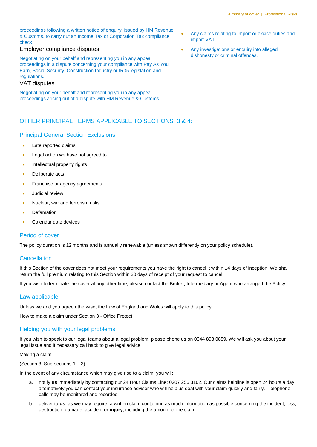| proceedings following a written notice of enquiry, issued by HM Revenue<br>& Customs, to carry out an Income Tax or Corporation Tax compliance<br>check.<br>Employer compliance disputes<br>Negotiating on your behalf and representing you in any appeal<br>proceedings in a dispute concerning your compliance with Pay As You<br>Earn, Social Security, Construction Industry or IR35 legislation and<br>requlations.<br>VAT disputes | $\bullet$<br>$\bullet$ | Any claims relating to import or excise duties and<br>import VAT.<br>Any investigations or enquiry into alleged<br>dishonesty or criminal offences. |
|------------------------------------------------------------------------------------------------------------------------------------------------------------------------------------------------------------------------------------------------------------------------------------------------------------------------------------------------------------------------------------------------------------------------------------------|------------------------|-----------------------------------------------------------------------------------------------------------------------------------------------------|
|                                                                                                                                                                                                                                                                                                                                                                                                                                          |                        |                                                                                                                                                     |
| Negotiating on your behalf and representing you in any appeal<br>proceedings arising out of a dispute with HM Revenue & Customs.                                                                                                                                                                                                                                                                                                         |                        |                                                                                                                                                     |

#### OTHER PRINCIPAL TERMS APPLICABLE TO SECTIONS 3 & 4:

#### Principal General Section Exclusions

- Late reported claims
- **Legal action we have not agreed to**
- Intellectual property rights
- Deliberate acts
- Franchise or agency agreements
- Judicial review
- Nuclear, war and terrorism risks
- Defamation
- Calendar date devices

#### Period of cover

The policy duration is 12 months and is annually renewable (unless shown differently on your policy schedule).

#### **Cancellation**

If this Section of the cover does not meet your requirements you have the right to cancel it within 14 days of inception. We shall return the full premium relating to this Section within 30 days of receipt of your request to cancel.

If you wish to terminate the cover at any other time, please contact the Broker, Intermediary or Agent who arranged the Policy

#### Law applicable

Unless we and you agree otherwise, the Law of England and Wales will apply to this policy.

How to make a claim under Section 3 - Office Protect

#### Helping you with your legal problems

If you wish to speak to our legal teams about a legal problem, please phone us on 0344 893 0859. We will ask you about your legal issue and if necessary call back to give legal advice.

#### Making a claim

(Section 3, Sub-sections 1 – 3)

In the event of any circumstance which may give rise to a claim, you will:

- a. notify **us** immediately by contacting our 24 Hour Claims Line: 0207 256 3102. Our claims helpline is open 24 hours a day, alternatively you can contact your insurance adviser who will help us deal with your claim quickly and fairly. Telephone calls may be monitored and recorded
- b. deliver to **us**, as **we** may require, a written claim containing as much information as possible concerning the incident, loss, destruction, damage, accident or **injury**, including the amount of the claim,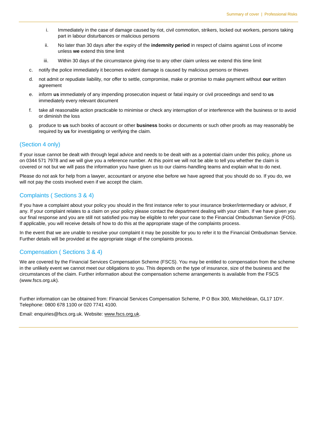- i. Immediately in the case of damage caused by riot, civil commotion, strikers, locked out workers, persons taking part in labour disturbances or malicious persons
- ii. No later than 30 days after the expiry of the **indemnity period** in respect of claims against Loss of income unless **we** extend this time limit
- iii. Within 30 days of the circumstance giving rise to any other claim unless we extend this time limit
- c. notify the police immediately it becomes evident damage is caused by malicious persons or thieves
- d. not admit or repudiate liability, nor offer to settle, compromise, make or promise to make payment without **our** written agreement
- e. inform **us** immediately of any impending prosecution inquest or fatal inquiry or civil proceedings and send to **us** immediately every relevant document
- f. take all reasonable action practicable to minimise or check any interruption of or interference with the business or to avoid or diminish the loss
- g. produce to **us** such books of account or other **business** books or documents or such other proofs as may reasonably be required by **us** for investigating or verifying the claim.

#### (Section 4 only)

If your issue cannot be dealt with through legal advice and needs to be dealt with as a potential claim under this policy, phone us on 0344 571 7978 and we will give you a reference number. At this point we will not be able to tell you whether the claim is covered or not but we will pass the information you have given us to our claims-handling teams and explain what to do next.

Please do not ask for help from a lawyer, accountant or anyone else before we have agreed that you should do so. If you do, we will not pay the costs involved even if we accept the claim.

#### Complaints ( Sections 3 & 4)

If you have a complaint about your policy you should in the first instance refer to your insurance broker/intermediary or advisor, if any. If your complaint relates to a claim on your policy please contact the department dealing with your claim. If we have given you our final response and you are still not satisfied you may be eligible to refer your case to the Financial Ombudsman Service (FOS). If applicable, you will receive details of how to do this at the appropriate stage of the complaints process.

In the event that we are unable to resolve your complaint it may be possible for you to refer it to the Financial Ombudsman Service. Further details will be provided at the appropriate stage of the complaints process.

#### Compensation ( Sections 3 & 4)

We are covered by the Financial Services Compensation Scheme (FSCS). You may be entitled to compensation from the scheme in the unlikely event we cannot meet our obligations to you. This depends on the type of insurance, size of the business and the circumstances of the claim. Further information about the compensation scheme arrangements is available from the FSCS (www.fscs.org.uk).

Further information can be obtained from: Financial Services Compensation Scheme, P O Box 300, Mitcheldean, GL17 1DY. Telephone: 0800 678 1100 or 020 7741 4100.

Email: enquiries@fscs.org.uk. Website: [www.fscs.org.uk.](http://www.fscs.org.uk/)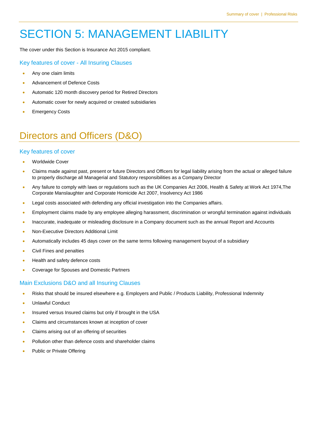# SECTION 5: MANAGEMENT LIABILITY

The cover under this Section is Insurance Act 2015 compliant.

#### Key features of cover - All Insuring Clauses

- Any one claim limits
- Advancement of Defence Costs
- Automatic 120 month discovery period for Retired Directors
- Automatic cover for newly acquired or created subsidiaries
- Emergency Costs

### Directors and Officers (D&O)

#### Key features of cover

- Worldwide Cover
- Claims made against past, present or future Directors and Officers for legal liability arising from the actual or alleged failure to properly discharge all Managerial and Statutory responsibilities as a Company Director
- Any failure to comply with laws or regulations such as the UK Companies Act 2006, Health & Safety at Work Act 1974,The Corporate Manslaughter and Corporate Homicide Act 2007, Insolvency Act 1986
- **•** Legal costs associated with defending any official investigation into the Companies affairs.
- **Employment claims made by any employee alleging harassment, discrimination or wrongful termination against individuals**
- Inaccurate, inadequate or misleading disclosure in a Company document such as the annual Report and Accounts
- Non-Executive Directors Additional Limit
- Automatically includes 45 days cover on the same terms following management buyout of a subsidiary
- Civil Fines and penalties
- Health and safety defence costs
- Coverage for Spouses and Domestic Partners

#### Main Exclusions D&O and all Insuring Clauses

- Risks that should be insured elsewhere e.g. Employers and Public / Products Liability, Professional Indemnity
- Unlawful Conduct
- **Insured versus Insured claims but only if brought in the USA**
- Claims and circumstances known at inception of cover
- Claims arising out of an offering of securities
- Pollution other than defence costs and shareholder claims
- Public or Private Offering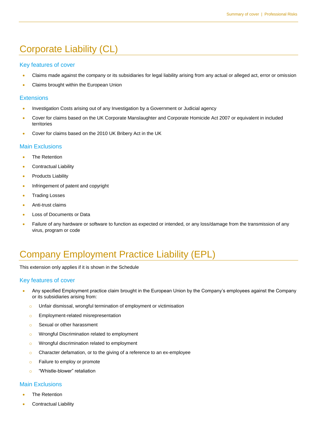### Corporate Liability (CL)

#### Key features of cover

- Claims made against the company or its subsidiaries for legal liability arising from any actual or alleged act, error or omission
- Claims brought within the European Union

#### **Extensions**

- Investigation Costs arising out of any Investigation by a Government or Judicial agency
- Cover for claims based on the UK Corporate Manslaughter and Corporate Homicide Act 2007 or equivalent in included territories
- Cover for claims based on the 2010 UK Bribery Act in the UK

#### Main Exclusions

- The Retention
- Contractual Liability
- Products Liability
- Infringement of patent and copyright
- **•** Trading Losses
- **Anti-trust claims**
- Loss of Documents or Data
- Failure of any hardware or software to function as expected or intended, or any loss/damage from the transmission of any virus, program or code

### Company Employment Practice Liability (EPL)

This extension only applies if it is shown in the Schedule

#### Key features of cover

- Any specified Employment practice claim brought in the European Union by the Company's employees against the Company or its subsidiaries arising from:
	- o Unfair dismissal, wrongful termination of employment or victimisation
	- **o** Employment-related misrepresentation
	- o Sexual or other harassment
	- o Wrongful Discrimination related to employment
	- o Wrongful discrimination related to employment
	- o Character defamation, or to the giving of a reference to an ex-employee
	- **o** Failure to employ or promote
	- o "Whistle-blower" retaliation

#### Main Exclusions

- The Retention
- Contractual Liability